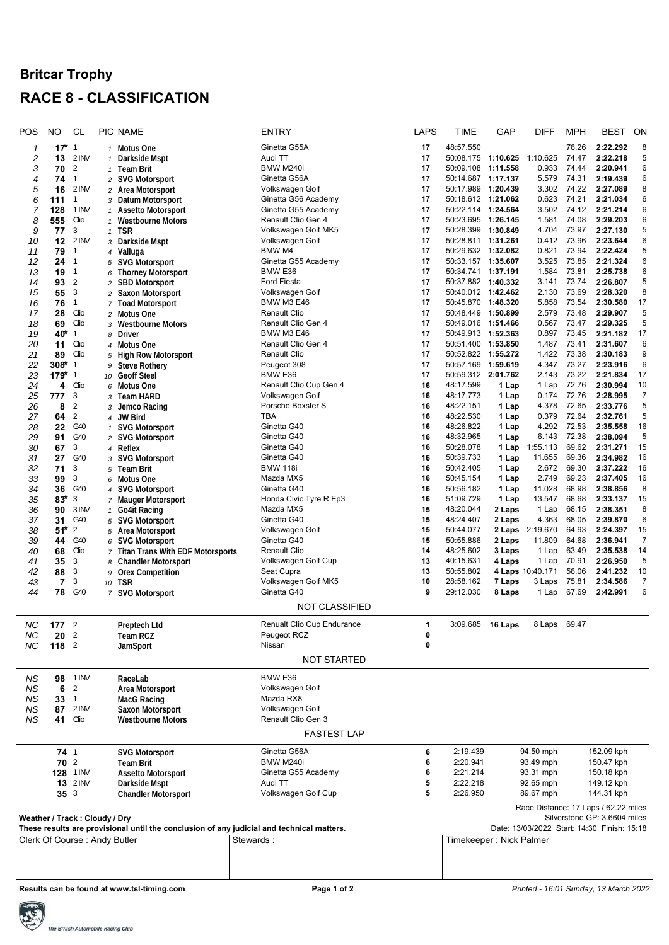## **Britcar Trophy RACE 8 - CLASSIFICATION**

| POS                                                                                       | <b>NO</b>                     | <b>CL</b>             |              | PIC NAME                                                    |  | <b>ENTRY</b>                                     | LAPS     | TIME                                        | GAP              | <b>DIFF</b>                          | <b>MPH</b>     | <b>BEST</b>                  | ON             |
|-------------------------------------------------------------------------------------------|-------------------------------|-----------------------|--------------|-------------------------------------------------------------|--|--------------------------------------------------|----------|---------------------------------------------|------------------|--------------------------------------|----------------|------------------------------|----------------|
| 1                                                                                         | $17*$                         | $\overline{1}$        |              | 1 Motus One                                                 |  | Ginetta G55A                                     | 17       | 48:57.550                                   |                  |                                      | 76.26          | 2:22.292                     | 8              |
| 2                                                                                         | 13                            | 2 INV                 | $\mathbf{1}$ | Darkside Mspt                                               |  | Audi TT                                          | 17       | 50:08.175                                   | 1:10.625         | 1:10.625                             | 74.47          | 2:22.218                     | 5              |
| 3                                                                                         | 70                            | $\overline{2}$        |              | 1 Team Brit                                                 |  | BMW M240i                                        | 17       | 50:09.108 1:11.558                          |                  | 0.933                                | 74.44          | 2:20.941                     | 6              |
| 4                                                                                         | 74                            | 1                     |              | 2 SVG Motorsport                                            |  | Ginetta G56A                                     | 17       | 50:14.687 1:17.137                          |                  | 5.579                                | 74.31          | 2:19.439                     | 6              |
| 5                                                                                         | 16                            | 2 INV                 |              | 2 Area Motorsport                                           |  | Volkswagen Golf                                  | 17       | 50:17.989 1:20.439                          |                  | 3.302                                | 74.22          | 2:27.089                     | 8              |
| 6                                                                                         | 111                           | 1                     |              | 3 Datum Motorsport                                          |  | Ginetta G56 Academy                              | 17       | 50:18.612 1:21.062                          |                  | 0.623                                | 74.21          | 2:21.034                     | 6              |
| 7                                                                                         | 128                           | 1 INV                 |              | 1 Assetto Motorsport                                        |  | Ginetta G55 Academy                              | 17       | 50:22.114 1:24.564                          |                  | 3.502                                | 74.12          | 2:21.214                     | 6              |
| 8                                                                                         | 555                           | Clio                  |              | 1 Westbourne Motors                                         |  | Renault Clio Gen 4                               | 17       | 50:23.695 1:26.145                          |                  | 1.581                                | 74.08          | 2:29.203                     | 6              |
| 9                                                                                         | 77                            | 3                     |              | 1 TSR                                                       |  | Volkswagen Golf MK5                              | 17       | 50:28.399 1:30.849                          |                  | 4.704                                | 73.97          | 2:27.130                     | 5              |
| 10                                                                                        | 12                            | 2 INV                 |              | 3 Darkside Mspt                                             |  | Volkswagen Golf                                  | 17       | 50:28.811 1:31.261                          |                  | 0.412                                | 73.96          | 2:23.644                     | 6              |
| 11                                                                                        | 79                            | 1                     | 4            | Valluga                                                     |  | BMW M4                                           | 17       | 50:29.632 1:32.082                          |                  | 0.821                                | 73.94<br>73.85 | 2:22.424<br>2:21.324         | 5<br>6         |
| 12<br>13                                                                                  | 24                            | $\overline{1}$<br>1   |              | 5 SVG Motorsport                                            |  | Ginetta G55 Academy<br>BMW E36                   | 17<br>17 | 50:33.157 1:35.607<br>50:34.741 1:37.191    |                  | 3.525<br>1.584                       | 73.81          | 2:25.738                     | 6              |
| 14                                                                                        | 19<br>93                      | $\overline{2}$        | 6            | <b>Thorney Motorsport</b><br>2 SBD Motorsport               |  | <b>Ford Fiesta</b>                               | 17       | 50:37.882 1:40.332                          |                  | 3.141                                | 73.74          | 2:26.807                     | 5              |
| 15                                                                                        | 55                            | 3                     |              | 2 Saxon Motorsport                                          |  | Volkswagen Golf                                  | 17       | 50:40.012 1:42.462                          |                  | 2.130                                | 73.69          | 2:28.320                     | 8              |
| 16                                                                                        | 76                            | $\mathbf{1}$          |              | 7 Toad Motorsport                                           |  | <b>BMW M3 E46</b>                                | 17       | 50:45.870 1:48.320                          |                  | 5.858                                | 73.54          | 2:30.580                     | 17             |
| 17                                                                                        | 28                            | Clio                  |              | 2 Motus One                                                 |  | <b>Renault Clio</b>                              | 17       | 50:48.449 1:50.899                          |                  | 2.579                                | 73.48          | 2:29.907                     | 5              |
| 18                                                                                        | 69                            | Clio                  |              | 3 Westbourne Motors                                         |  | Renault Clio Gen 4                               | 17       | 50:49.016 1:51.466                          |                  | 0.567                                | 73.47          | 2:29.325                     | 5              |
| 19                                                                                        | 40*                           | 1                     |              | 8 Driver                                                    |  | <b>BMW M3 E46</b>                                | 17       | 50:49.913 1:52.363                          |                  | 0.897                                | 73.45          | 2:21.182                     | 17             |
| 20                                                                                        | 11                            | Clio                  |              | 4 Motus One                                                 |  | Renault Clio Gen 4                               | 17       | 50:51.400 1:53.850                          |                  | 1.487                                | 73.41          | 2:31.607                     | 6              |
| 21                                                                                        | 89                            | Clio                  |              | 5 High Row Motorsport                                       |  | <b>Renault Clio</b>                              | 17       | 50:52.822 1:55.272                          |                  | 1.422                                | 73.38          | 2:30.183                     | 9              |
| 22                                                                                        | 308*                          | $\mathbf{1}$          |              | 9 Steve Rothery                                             |  | Peugeot 308                                      | 17       | 50:57.169 1:59.619                          |                  | 4.347                                | 73.27          | 2:23.916                     | 6              |
| 23                                                                                        | 179* 1                        |                       |              | 10 Geoff Steel                                              |  | BMW E36                                          | 17       | 50:59.312 2:01.762                          |                  | 2.143                                | 73.22          | 2:21.834                     | 17             |
| 24                                                                                        | 4                             | Clio                  |              | 6 Motus One                                                 |  | Renault Clio Cup Gen 4                           | 16       | 48:17.599                                   | 1 Lap            | 1 Lap                                | 72.76          | 2:30.994                     | 10             |
| 25                                                                                        | 777                           | 3                     |              | з Team HARD                                                 |  | Volkswagen Golf                                  | 16       | 48:17.773                                   | 1 Lap            | 0.174                                | 72.76          | 2:28.995                     | 7              |
| 26                                                                                        | 8                             | $\overline{2}$        | 3            | Jemco Racing                                                |  | Porsche Boxster S                                | 16       | 48:22.151                                   | 1 Lap            | 4.378                                | 72.65          | 2:33.776                     | 5              |
| 27                                                                                        | 64                            | $\overline{2}$        |              | 4 JW Bird                                                   |  | TBA                                              | 16       | 48:22.530                                   | 1 Lap            | 0.379                                | 72.64          | 2:32.761                     | 5              |
| 28                                                                                        | 22                            | G40                   |              | 1 SVG Motorsport                                            |  | Ginetta G40                                      | 16       | 48:26.822                                   | 1 Lap            | 4.292                                | 72.53          | 2:35.558                     | 16             |
| 29                                                                                        | 91                            | G40                   |              | 2 SVG Motorsport                                            |  | Ginetta G40                                      | 16       | 48:32.965                                   | 1 Lap            | 6.143                                | 72.38          | 2:38.094                     | 5              |
| 30                                                                                        | 67                            | 3                     |              | 4 Reflex                                                    |  | Ginetta G40                                      | 16       | 50:28.078                                   | 1 Lap            | 1:55.113                             | 69.62          | 2:31.271                     | 15             |
| 31                                                                                        | 27                            | G40                   |              | 3 SVG Motorsport                                            |  | Ginetta G40                                      | 16       | 50:39.733                                   | 1 Lap            | 11.655                               | 69.36          | 2:34.982                     | 16             |
| 32                                                                                        | 71                            | 3                     | 5            | Team Brit                                                   |  | <b>BMW 118i</b>                                  | 16       | 50:42.405                                   | 1 Lap            | 2.672                                | 69.30          | 2:37.222                     | 16             |
| 33                                                                                        | 99                            | 3                     |              | 6 Motus One                                                 |  | Mazda MX5                                        | 16       | 50:45.154                                   | 1 Lap            | 2.749                                | 69.23          | 2:37.405                     | 16             |
| 34                                                                                        | 36                            | G40                   |              | 4 SVG Motorsport                                            |  | Ginetta G40                                      | 16       | 50:56.182                                   | 1 Lap            | 11.028                               | 68.98          | 2:38.856                     | 8              |
| 35                                                                                        | $83*$                         | 3                     |              | 7 Mauger Motorsport                                         |  | Honda Civic Tyre R Ep3                           | 16       | 51:09.729                                   | 1 Lap            | 13.547                               | 68.68          | 2:33.137                     | 15             |
| 36                                                                                        | 90                            | 3 INV                 |              | 1 Go4it Racing                                              |  | Mazda MX5                                        | 15       | 48:20.044                                   | 2 Laps           | 1 Lap                                | 68.15          | 2:38.351                     | 8              |
| 37                                                                                        | 31                            | G40                   |              | 5 SVG Motorsport                                            |  | Ginetta G40                                      | 15       | 48:24.407<br>50:44.077                      | 2 Laps           | 4.363                                | 68.05<br>64.93 | 2:39.870                     | 6<br>15        |
| 38<br>39                                                                                  | $51*$<br>44                   | $\overline{2}$<br>G40 |              | 5 Area Motorsport                                           |  | Volkswagen Golf<br>Ginetta G40                   | 15<br>15 | 50:55.886                                   | 2 Laps<br>2 Laps | 2:19.670<br>11.809                   | 64.68          | 2:24.397<br>2:36.941         | 7              |
| 40                                                                                        | 68                            | Clio                  | 6            | <b>SVG Motorsport</b><br>7 Titan Trans With EDF Motorsports |  | Renault Clio                                     | 14       | 48:25.602                                   | 3 Laps           | 1 Lap                                | 63.49          | 2:35.538                     | 14             |
| 41                                                                                        | 35                            | 3                     |              | 8 Chandler Motorsport                                       |  | Volkswagen Golf Cup                              | 13       | 40:15.631                                   | 4 Laps           | 1 Lap                                | 70.91          | 2:26.950                     | 5              |
| 42                                                                                        | 88                            | 3                     |              | 9 Orex Competition                                          |  | Seat Cupra                                       | 13       | 50:55.802                                   |                  | 4 Laps 10:40.171                     | 56.06          | 2:41.232                     | 10             |
| 43                                                                                        | $\overline{7}$                | 3                     |              | 10 TSR                                                      |  | Volkswagen Golf MK5                              | 10       | 28:58.162                                   | 7 Laps           | 3 Laps                               | 75.81          | 2:34.586                     | $\overline{7}$ |
| 44                                                                                        | 78                            | G40                   |              | 7 SVG Motorsport                                            |  | Ginetta G40                                      | 9        | 29:12.030                                   | 8 Laps           | 1 Lap                                | 67.69          | 2:42.991                     | 6              |
|                                                                                           |                               |                       |              |                                                             |  | <b>NOT CLASSIFIED</b>                            |          |                                             |                  |                                      |                |                              |                |
|                                                                                           |                               |                       |              |                                                             |  |                                                  | 1        |                                             |                  |                                      | 69.47          |                              |                |
| NС                                                                                        | $177^{2}$<br>$20^{\circ}$ 2   |                       |              | Preptech Ltd                                                |  | <b>Renualt Clio Cup Endurance</b><br>Peugeot RCZ |          | 3:09.685                                    | 16 Laps          | 8 Laps                               |                |                              |                |
| NС                                                                                        | 118 <sup>2</sup>              |                       |              | Team RCZ                                                    |  | Nissan                                           | 0<br>0   |                                             |                  |                                      |                |                              |                |
| NС                                                                                        |                               |                       |              | JamSport                                                    |  |                                                  |          |                                             |                  |                                      |                |                              |                |
|                                                                                           |                               |                       |              |                                                             |  | <b>NOT STARTED</b>                               |          |                                             |                  |                                      |                |                              |                |
| <b>NS</b>                                                                                 |                               | 98 1 INV              |              | RaceLab                                                     |  | BMW E36                                          |          |                                             |                  |                                      |                |                              |                |
| ΝS                                                                                        | 6                             | $\overline{2}$        |              | Area Motorsport                                             |  | Volkswagen Golf                                  |          |                                             |                  |                                      |                |                              |                |
| ΝS                                                                                        | 33                            | $\overline{1}$        |              | <b>MacG Racing</b>                                          |  | Mazda RX8                                        |          |                                             |                  |                                      |                |                              |                |
| <b>NS</b>                                                                                 |                               | 87 2 INV              |              | Saxon Motorsport                                            |  | Volkswagen Golf                                  |          |                                             |                  |                                      |                |                              |                |
| ΝS                                                                                        |                               | <b>41</b> Clio        |              | <b>Westbourne Motors</b>                                    |  | Renault Clio Gen 3                               |          |                                             |                  |                                      |                |                              |                |
|                                                                                           |                               |                       |              |                                                             |  | <b>FASTEST LAP</b>                               |          |                                             |                  |                                      |                |                              |                |
|                                                                                           | $74$ 1                        |                       |              | <b>SVG Motorsport</b>                                       |  | Ginetta G56A                                     | 6        | 2:19.439                                    |                  | 94.50 mph                            |                | 152.09 kph                   |                |
|                                                                                           | $70^{\circ}$                  |                       |              | <b>Team Brit</b>                                            |  | BMW M240i                                        | 6        | 2:20.941                                    |                  | 93.49 mph                            |                | 150.47 kph                   |                |
|                                                                                           |                               | 128 1 INV             |              | <b>Assetto Motorsport</b>                                   |  | Ginetta G55 Academy                              | 6        | 2:21.214                                    |                  | 93.31 mph                            |                | 150.18 kph                   |                |
|                                                                                           |                               | <b>13</b> 2 INV       |              | Darkside Mspt                                               |  | Audi TT                                          | 5        | 2:22.218                                    |                  | 92.65 mph                            |                | 149.12 kph                   |                |
|                                                                                           | $35^{3}$                      |                       |              | <b>Chandler Motorsport</b>                                  |  | Volkswagen Golf Cup                              | 5        | 2:26.950                                    |                  | 89.67 mph                            |                | 144.31 kph                   |                |
|                                                                                           |                               |                       |              |                                                             |  |                                                  |          |                                             |                  | Race Distance: 17 Laps / 62.22 miles |                |                              |                |
|                                                                                           | Weather / Track: Cloudy / Dry |                       |              |                                                             |  |                                                  |          |                                             |                  |                                      |                | Silverstone GP: 3.6604 miles |                |
| These results are provisional until the conclusion of any judicial and technical matters. |                               |                       |              |                                                             |  |                                                  |          | Date: 13/03/2022 Start: 14:30 Finish: 15:18 |                  |                                      |                |                              |                |
| Clerk Of Course: Andy Butler<br>Stewards:                                                 |                               |                       |              |                                                             |  | Timekeeper : Nick Palmer                         |          |                                             |                  |                                      |                |                              |                |
|                                                                                           |                               |                       |              |                                                             |  |                                                  |          |                                             |                  |                                      |                |                              |                |
|                                                                                           |                               |                       |              |                                                             |  |                                                  |          |                                             |                  |                                      |                |                              |                |
|                                                                                           |                               |                       |              |                                                             |  |                                                  |          |                                             |                  |                                      |                |                              |                |